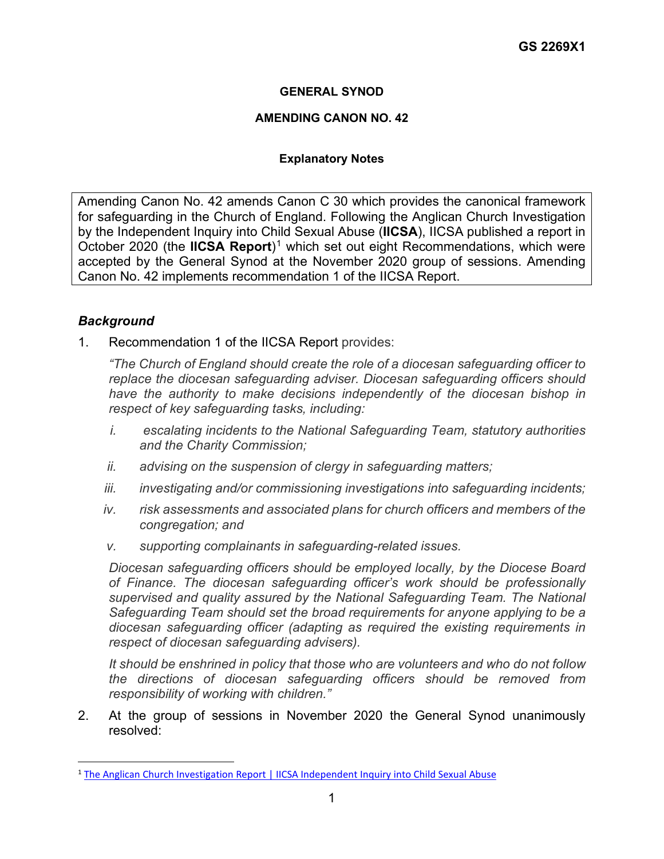# **GENERAL SYNOD**

#### **AMENDING CANON NO. 42**

# **Explanatory Notes**

Amending Canon No. 42 amends Canon C 30 which provides the canonical framework for safeguarding in the Church of England. Following the Anglican Church Investigation by the Independent Inquiry into Child Sexual Abuse (**IICSA**), IICSA published a report in October 2020 (the **IICSA Report**)<sup>[1](#page-0-0)</sup> which set out eight Recommendations, which were accepted by the General Synod at the November 2020 group of sessions. Amending Canon No. 42 implements recommendation 1 of the IICSA Report.

# *Background*

1. Recommendation 1 of the IICSA Report provides:

*"The Church of England should create the role of a diocesan safeguarding officer to replace the diocesan safeguarding adviser. Diocesan safeguarding officers should have the authority to make decisions independently of the diocesan bishop in respect of key safeguarding tasks, including:*

- *i. escalating incidents to the National Safeguarding Team, statutory authorities and the Charity Commission;*
- *ii. advising on the suspension of clergy in safeguarding matters;*
- *iii. investigating and/or commissioning investigations into safeguarding incidents;*
- *iv. risk assessments and associated plans for church officers and members of the congregation; and*
- *v. supporting complainants in safeguarding-related issues.*

*Diocesan safeguarding officers should be employed locally, by the Diocese Board of Finance. The diocesan safeguarding officer's work should be professionally supervised and quality assured by the National Safeguarding Team. The National Safeguarding Team should set the broad requirements for anyone applying to be a diocesan safeguarding officer (adapting as required the existing requirements in respect of diocesan safeguarding advisers).*

*It should be enshrined in policy that those who are volunteers and who do not follow the directions of diocesan safeguarding officers should be removed from responsibility of working with children."* 

2. At the group of sessions in November 2020 the General Synod unanimously resolved:

<span id="page-0-0"></span><sup>1</sup> [The Anglican Church Investigation Report | IICSA Independent Inquiry into Child Sexual Abuse](https://www.iicsa.org.uk/reports-recommendations/publications/investigation/anglican-church)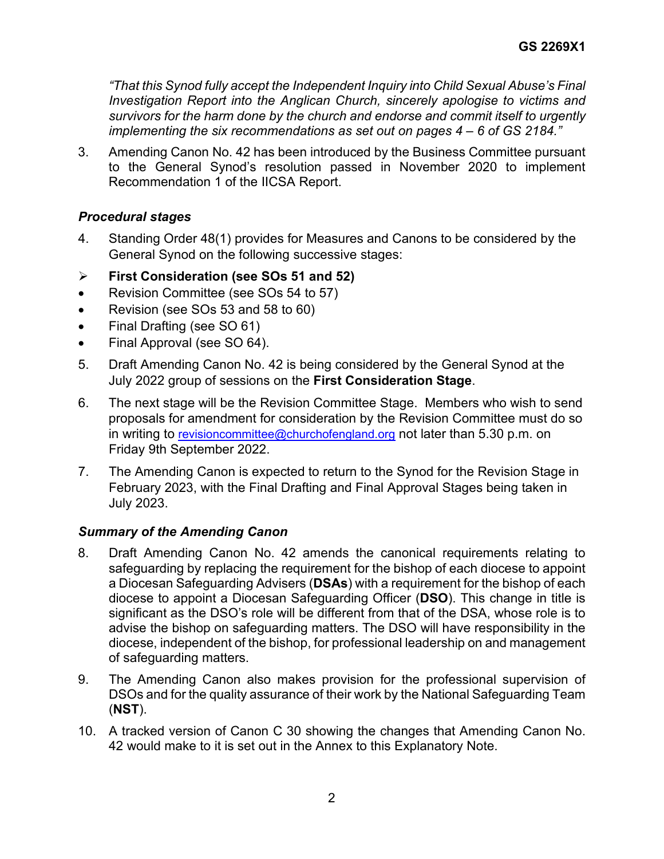*"That this Synod fully accept the Independent Inquiry into Child Sexual Abuse's Final Investigation Report into the Anglican Church, sincerely apologise to victims and survivors for the harm done by the church and endorse and commit itself to urgently implementing the six recommendations as set out on pages 4 – 6 of GS 2184."*

3. Amending Canon No. 42 has been introduced by the Business Committee pursuant to the General Synod's resolution passed in November 2020 to implement Recommendation 1 of the IICSA Report.

# *Procedural stages*

- 4. Standing Order 48(1) provides for Measures and Canons to be considered by the General Synod on the following successive stages:
- **First Consideration (see SOs 51 and 52)**
- Revision Committee (see SOs 54 to 57)
- Revision (see SOs 53 and 58 to 60)
- Final Drafting (see SO 61)
- Final Approval (see SO 64).
- 5. Draft Amending Canon No. 42 is being considered by the General Synod at the July 2022 group of sessions on the **First Consideration Stage**.
- 6. The next stage will be the Revision Committee Stage. Members who wish to send proposals for amendment for consideration by the Revision Committee must do so in writing to [revisioncommittee@churchofengland.org](mailto:revisioncommittee@churchofengland.org) not later than 5.30 p.m. on Friday 9th September 2022.
- 7. The Amending Canon is expected to return to the Synod for the Revision Stage in February 2023, with the Final Drafting and Final Approval Stages being taken in July 2023.

# *Summary of the Amending Canon*

- 8. Draft Amending Canon No. 42 amends the canonical requirements relating to safeguarding by replacing the requirement for the bishop of each diocese to appoint a Diocesan Safeguarding Advisers (**DSAs**) with a requirement for the bishop of each diocese to appoint a Diocesan Safeguarding Officer (**DSO**). This change in title is significant as the DSO's role will be different from that of the DSA, whose role is to advise the bishop on safeguarding matters. The DSO will have responsibility in the diocese, independent of the bishop, for professional leadership on and management of safeguarding matters.
- 9. The Amending Canon also makes provision for the professional supervision of DSOs and for the quality assurance of their work by the National Safeguarding Team (**NST**).
- 10. A tracked version of Canon C 30 showing the changes that Amending Canon No. 42 would make to it is set out in the Annex to this Explanatory Note.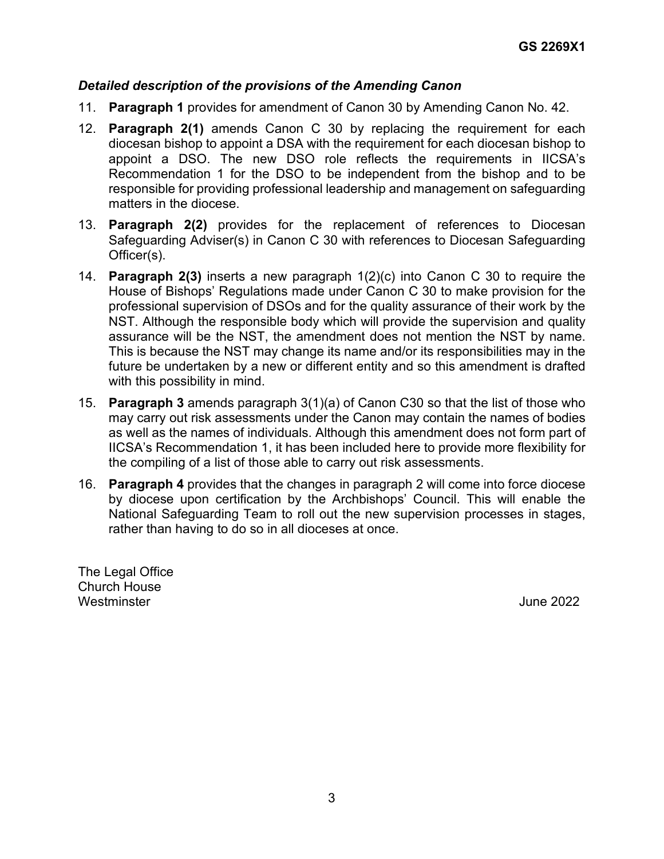#### *Detailed description of the provisions of the Amending Canon*

- 11. **Paragraph 1** provides for amendment of Canon 30 by Amending Canon No. 42.
- 12. **Paragraph 2(1)** amends Canon C 30 by replacing the requirement for each diocesan bishop to appoint a DSA with the requirement for each diocesan bishop to appoint a DSO. The new DSO role reflects the requirements in IICSA's Recommendation 1 for the DSO to be independent from the bishop and to be responsible for providing professional leadership and management on safeguarding matters in the diocese.
- 13. **Paragraph 2(2)** provides for the replacement of references to Diocesan Safeguarding Adviser(s) in Canon C 30 with references to Diocesan Safeguarding Officer(s).
- 14. **Paragraph 2(3)** inserts a new paragraph 1(2)(c) into Canon C 30 to require the House of Bishops' Regulations made under Canon C 30 to make provision for the professional supervision of DSOs and for the quality assurance of their work by the NST. Although the responsible body which will provide the supervision and quality assurance will be the NST, the amendment does not mention the NST by name. This is because the NST may change its name and/or its responsibilities may in the future be undertaken by a new or different entity and so this amendment is drafted with this possibility in mind.
- 15. **Paragraph 3** amends paragraph 3(1)(a) of Canon C30 so that the list of those who may carry out risk assessments under the Canon may contain the names of bodies as well as the names of individuals. Although this amendment does not form part of IICSA's Recommendation 1, it has been included here to provide more flexibility for the compiling of a list of those able to carry out risk assessments.
- 16. **Paragraph 4** provides that the changes in paragraph 2 will come into force diocese by diocese upon certification by the Archbishops' Council. This will enable the National Safeguarding Team to roll out the new supervision processes in stages, rather than having to do so in all dioceses at once.

The Legal Office Church House Westminster **Westminster** June 2022